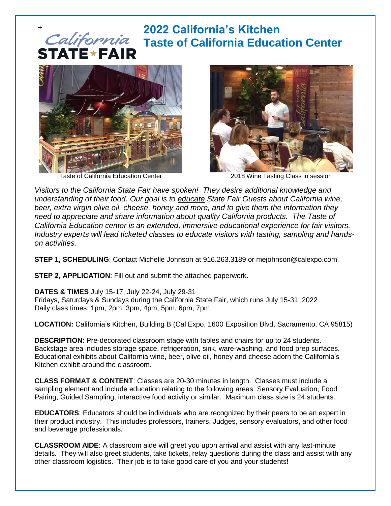### +- **2022 California's Kitchen Taste of California Education Center STATE\*FAIR**



Taste of California Education Center 2018 Wine Tasting Class in session



*Visitors to the California State Fair have spoken! They desire additional knowledge and understanding of their food. Our goal is to educate State Fair Guests about California wine, beer, extra virgin olive oil, cheese, honey and more, and to give them the information they need to appreciate and share information about quality California products. The Taste of California Education center is an extended, immersive educational experience for fair visitors. Industry experts will lead ticketed classes to educate visitors with tasting, sampling and handson activities.*

**STEP 1, SCHEDULING**: Contact Michelle Johnson at 916.263.3189 or mejohnson@calexpo.com.

**STEP 2, APPLICATION**: Fill out and submit the attached paperwork.

**DATES & TIMES** July 15-17, July 22-24, July 29-31

Fridays, Saturdays & Sundays during the California State Fair, which runs July 15-31, 2022 Daily class times: 1pm, 2pm, 3pm, 4pm, 5pm, 6pm, 7pm

**LOCATION:** California's Kitchen, Building B (Cal Expo, 1600 Exposition Blvd, Sacramento, CA 95815)

**DESCRIPTION**: Pre-decorated classroom stage with tables and chairs for up to 24 students. Backstage area includes storage space, refrigeration, sink, ware-washing, and food prep surfaces. Educational exhibits about California wine, beer, olive oil, honey and cheese adorn the California's Kitchen exhibit around the classroom.

**CLASS FORMAT & CONTENT**: Classes are 20-30 minutes in length. Classes must include a sampling element and include education relating to the following areas: Sensory Evaluation, Food Pairing, Guided Sampling, interactive food activity or similar. Maximum class size is 24 students.

**EDUCATORS**: Educators should be individuals who are recognized by their peers to be an expert in their product industry. This includes professors, trainers, Judges, sensory evaluators, and other food and beverage professionals.

**CLASSROOM AIDE**: A classroom aide will greet you upon arrival and assist with any last-minute details. They will also greet students, take tickets, relay questions during the class and assist with any other classroom logistics. Their job is to take good care of you and your students!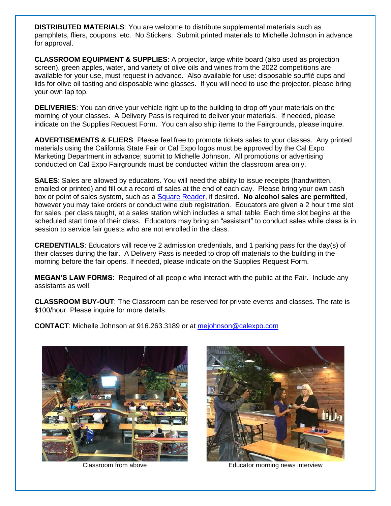**DISTRIBUTED MATERIALS**: You are welcome to distribute supplemental materials such as pamphlets, fliers, coupons, etc. No Stickers. Submit printed materials to Michelle Johnson in advance for approval.

**CLASSROOM EQUIPMENT & SUPPLIES**: A projector, large white board (also used as projection screen), green apples, water, and variety of olive oils and wines from the 2022 competitions are available for your use, must request in advance. Also available for use: disposable soufflé cups and lids for olive oil tasting and disposable wine glasses. If you will need to use the projector, please bring your own lap top.

**DELIVERIES**: You can drive your vehicle right up to the building to drop off your materials on the morning of your classes. A Delivery Pass is required to deliver your materials. If needed, please indicate on the Supplies Request Form. You can also ship items to the Fairgrounds, please inquire.

**ADVERTISEMENTS & FLIERS**: Please feel free to promote tickets sales to your classes. Any printed materials using the California State Fair or Cal Expo logos must be approved by the Cal Expo Marketing Department in advance; submit to Michelle Johnson. All promotions or advertising conducted on Cal Expo Fairgrounds must be conducted within the classroom area only.

**SALES**: Sales are allowed by educators. You will need the ability to issue receipts (handwritten, emailed or printed) and fill out a record of sales at the end of each day. Please bring your own cash box or point of sales system, such as a [Square](https://squareup.com/) Reader, if desired. **No alcohol sales are permitted**, however you may take orders or conduct wine club registration. Educators are given a 2 hour time slot for sales, per class taught, at a sales station which includes a small table. Each time slot begins at the scheduled start time of their class. Educators may bring an "assistant" to conduct sales while class is in session to service fair guests who are not enrolled in the class.

**CREDENTIALS**: Educators will receive 2 admission credentials, and 1 parking pass for the day(s) of their classes during the fair. A Delivery Pass is needed to drop off materials to the building in the morning before the fair opens. If needed, please indicate on the Supplies Request Form.

**MEGAN'S LAW FORMS**: Required of all people who interact with the public at the Fair. Include any assistants as well.

**CLASSROOM BUY-OUT**: The Classroom can be reserved for private events and classes. The rate is \$100/hour. Please inquire for more details.

**CONTACT**: Michelle Johnson at 916.263.3189 or at [mejohnson@calexpo.com](mailto:mejohnson@calexpo.com)





Classroom from above Educator morning news interview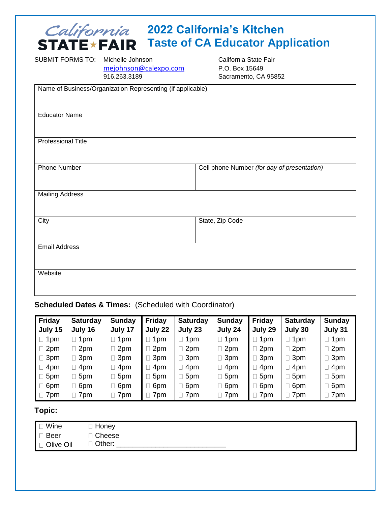## **2022 California's Kitchen Taste of CA Educator Application**

| SUBMIT FORMS TO:       | Michelle Johnson<br>mejohnson@calexpo.com<br>916.263.3189  | California State Fair<br>P.O. Box 15649<br>Sacramento, CA 95852 |
|------------------------|------------------------------------------------------------|-----------------------------------------------------------------|
|                        | Name of Business/Organization Representing (if applicable) |                                                                 |
| <b>Educator Name</b>   |                                                            |                                                                 |
| Professional Title     |                                                            |                                                                 |
| <b>Phone Number</b>    |                                                            | Cell phone Number (for day of presentation)                     |
| <b>Mailing Address</b> |                                                            |                                                                 |
| City                   |                                                            | State, Zip Code                                                 |
| <b>Email Address</b>   |                                                            |                                                                 |
| Website                |                                                            |                                                                 |

**Scheduled Dates & Times:** (Scheduled with Coordinator)

| <b>Friday</b> | <b>Saturday</b> | <b>Sunday</b> | <b>Friday</b> | <b>Saturday</b> | Sunday        | <b>Friday</b>   | <b>Saturday</b> | Sunday     |
|---------------|-----------------|---------------|---------------|-----------------|---------------|-----------------|-----------------|------------|
| July 15       | July 16         | July 17       | July 22       | July 23         | July 24       | July 29         | July 30         | July 31    |
| 1pm<br>$\Box$ | $\Box$ 1pm      | 1pm           | 1pm           | $\supset$ 1pm   | 1pm           | 1 <sub>pm</sub> | 1pm             | 1pm        |
| 2pm           | $\Box$ 2pm      | $\Box$ 2pm    | 2pm           | $\Box$ 2pm      | $\Box$ 2pm    | 2pm             | 2pm             | $\Box$ 2pm |
| 3pm           | $\Box$ 3pm      | $\Box$ 3pm    | 3pm           | $\Box$ 3pm      | $\Box$ 3pm    | 3pm             | 3pm             | 3pm        |
| 4pm           | $\Box$ 4pm      | $\square$ 4pm | 4pm           | $\Box$ 4pm      | $\supset$ 4pm | $\Box$ 4pm      | 4pm             | $\Box$ 4pm |
| 5pm           | 5pm             | $\square$ 5pm | 5pm           | $\Box$ 5pm      | $\square$ 5pm | 5pm             | 5pm             | 5pm        |
| 6pm           | $\Box$ 6pm      | $\square$ 6pm | 6pm           | $\Box$ 6pm      | $\square$ 6pm | 6pm             | 6pm             | 6pm        |
| 7pm           | 7pm             | $\Box$ 7pm    | 7pm           | $\supset$ 7pm   | $\exists$ 7pm | 7pm             | 7pm             | 7pm        |

### **Topic:**

| I □ Wine             | □ Honey  |
|----------------------|----------|
| $\blacksquare$ Beer  | □ Cheese |
| <b>I</b> □ Olive Oil | □ Other: |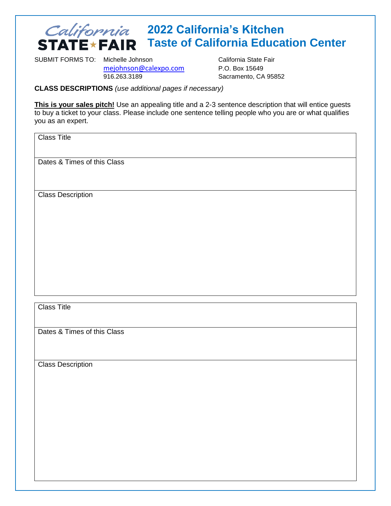## **2022 California's Kitchen STATE \* FAIR** Taste of California Education Center

SUBMIT FORMS TO: Michelle Johnson California State Fair

[mejohnson@calexpo.com](mailto:mejohnson@calexpo.com) P.O. Box 15649 916.263.3189 Sacramento, CA 95852

**CLASS DESCRIPTIONS** *(use additional pages if necessary)*

**This is your sales pitch!** Use an appealing title and a 2-3 sentence description that will entice guests to buy a ticket to your class. Please include one sentence telling people who you are or what qualifies you as an expert.

Class Title

Dates & Times of this Class

Class Description

Class Title

Dates & Times of this Class

Class Description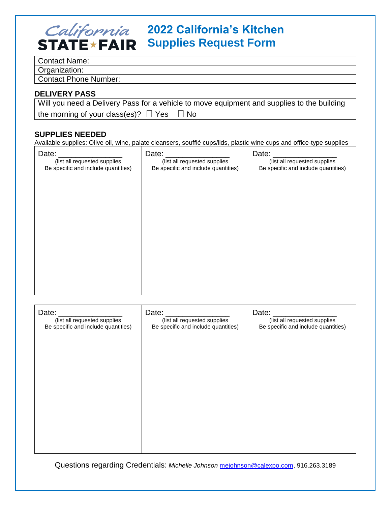# **2022 California's Kitchen STATE \* FAIR** Supplies Request Form

Contact Name:

Organization:

Contact Phone Number:

#### **DELIVERY PASS**

| Will you need a Delivery Pass for a vehicle to move equipment and supplies to the building |
|--------------------------------------------------------------------------------------------|
| the morning of your class(es)? $\Box$ Yes $\Box$ No                                        |

### **SUPPLIES NEEDED**

Available supplies: Olive oil, wine, palate cleansers, soufflé cups/lids, plastic wine cups and office-type supplies

| Date:<br>(list all requested supplies | Date:<br>(list all requested supplies | Date:<br>(list all requested supplies |
|---------------------------------------|---------------------------------------|---------------------------------------|
| Be specific and include quantities)   | Be specific and include quantities)   | Be specific and include quantities)   |
|                                       |                                       |                                       |
|                                       |                                       |                                       |
|                                       |                                       |                                       |
|                                       |                                       |                                       |
|                                       |                                       |                                       |
|                                       |                                       |                                       |
|                                       |                                       |                                       |

| Date:<br>(list all requested supplies<br>Be specific and include quantities) | Date:<br>(list all requested supplies<br>Be specific and include quantities) | Date:<br>(list all requested supplies<br>Be specific and include quantities) |
|------------------------------------------------------------------------------|------------------------------------------------------------------------------|------------------------------------------------------------------------------|
|                                                                              |                                                                              |                                                                              |
|                                                                              |                                                                              |                                                                              |
|                                                                              |                                                                              |                                                                              |
|                                                                              |                                                                              |                                                                              |

Questions regarding Credentials: *Michelle Johnson* [mejohnson@calexpo.com,](mailto:mejohnson@calexpo.com) 916.263.3189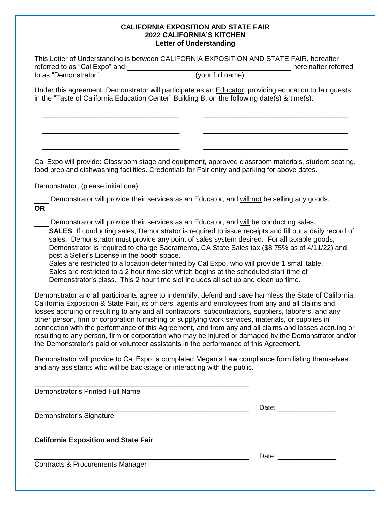#### **CALIFORNIA EXPOSITION AND STATE FAIR 2022 CALIFORNIA'S KITCHEN Letter of Understanding**

| This Letter of Understanding is between CALIFORNIA EXPOSITION AND STATE FAIR, hereafter<br>referred to as "Cal Expo" and __<br>hereinafter referred |                                                                                                                                                                                                                                                                                                                                                                                                                                                                                                                                                                                                                                                                                                                                         |  |  |  |  |
|-----------------------------------------------------------------------------------------------------------------------------------------------------|-----------------------------------------------------------------------------------------------------------------------------------------------------------------------------------------------------------------------------------------------------------------------------------------------------------------------------------------------------------------------------------------------------------------------------------------------------------------------------------------------------------------------------------------------------------------------------------------------------------------------------------------------------------------------------------------------------------------------------------------|--|--|--|--|
| to as "Demonstrator".                                                                                                                               | (your full name)                                                                                                                                                                                                                                                                                                                                                                                                                                                                                                                                                                                                                                                                                                                        |  |  |  |  |
|                                                                                                                                                     | Under this agreement, Demonstrator will participate as an <b>Educator</b> , providing education to fair guests<br>in the "Taste of California Education Center" Building B, on the following date(s) & time(s):                                                                                                                                                                                                                                                                                                                                                                                                                                                                                                                         |  |  |  |  |
|                                                                                                                                                     | Cal Expo will provide: Classroom stage and equipment, approved classroom materials, student seating,<br>food prep and dishwashing facilities. Credentials for Fair entry and parking for above dates.                                                                                                                                                                                                                                                                                                                                                                                                                                                                                                                                   |  |  |  |  |
| Demonstrator, (please initial one):                                                                                                                 |                                                                                                                                                                                                                                                                                                                                                                                                                                                                                                                                                                                                                                                                                                                                         |  |  |  |  |
| <b>OR</b>                                                                                                                                           | Demonstrator will provide their services as an Educator, and will not be selling any goods.                                                                                                                                                                                                                                                                                                                                                                                                                                                                                                                                                                                                                                             |  |  |  |  |
| post a Seller's License in the booth space.                                                                                                         | Demonstrator will provide their services as an Educator, and will be conducting sales.<br>SALES: If conducting sales, Demonstrator is required to issue receipts and fill out a daily record of<br>sales. Demonstrator must provide any point of sales system desired. For all taxable goods,<br>Demonstrator is required to charge Sacramento, CA State Sales tax (\$8.75% as of 4/11/22) and<br>Sales are restricted to a location determined by Cal Expo, who will provide 1 small table.<br>Sales are restricted to a 2 hour time slot which begins at the scheduled start time of<br>Demonstrator's class. This 2 hour time slot includes all set up and clean up time.                                                            |  |  |  |  |
|                                                                                                                                                     | Demonstrator and all participants agree to indemnify, defend and save harmless the State of California,<br>California Exposition & State Fair, its officers, agents and employees from any and all claims and<br>losses accruing or resulting to any and all contractors, subcontractors, suppliers, laborers, and any<br>other person, firm or corporation furnishing or supplying work services, materials, or supplies in<br>connection with the performance of this Agreement, and from any and all claims and losses accruing or<br>resulting to any person, firm or corporation who may be injured or damaged by the Demonstrator and/or<br>the Demonstrator's paid or volunteer assistants in the performance of this Agreement. |  |  |  |  |
| and any assistants who will be backstage or interacting with the public.                                                                            | Demonstrator will provide to Cal Expo, a completed Megan's Law compliance form listing themselves                                                                                                                                                                                                                                                                                                                                                                                                                                                                                                                                                                                                                                       |  |  |  |  |

\_\_\_\_\_\_\_\_\_\_\_\_\_\_\_\_\_\_\_\_\_\_\_\_\_\_\_\_\_\_\_\_\_\_\_\_\_\_\_\_\_\_\_\_\_\_\_\_\_\_\_\_\_\_\_ Demonstrator's Printed Full Name \_\_\_\_\_\_\_\_\_\_\_\_\_\_\_\_\_\_\_\_\_\_\_\_\_\_\_\_\_\_\_\_\_\_\_\_\_\_\_\_\_\_\_\_\_\_\_\_\_\_\_\_\_\_\_ Date: \_\_\_\_\_\_\_\_\_\_\_\_\_\_\_ Demonstrator's Signature **California Exposition and State Fair** \_\_\_\_\_\_\_\_\_\_\_\_\_\_\_\_\_\_\_\_\_\_\_\_\_\_\_\_\_\_\_\_\_\_\_\_\_\_\_\_\_\_\_\_\_\_\_\_\_\_\_\_\_\_\_ Date: \_\_\_\_\_\_\_\_\_\_\_\_\_\_\_ Contracts & Procurements Manager